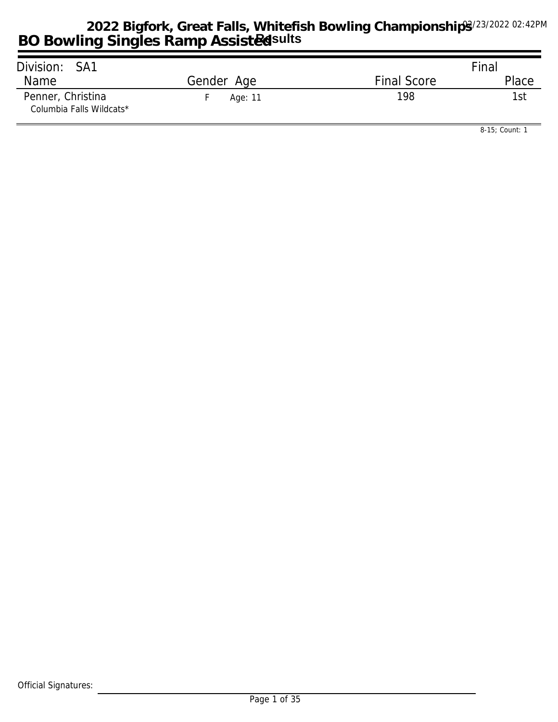| Division: SA1                                 |            |                    | Final |
|-----------------------------------------------|------------|--------------------|-------|
| Name                                          | Gender Age | <b>Final Score</b> | Place |
| Penner, Christina<br>Columbia Falls Wildcats* | Age: 11    | 198                | 1st   |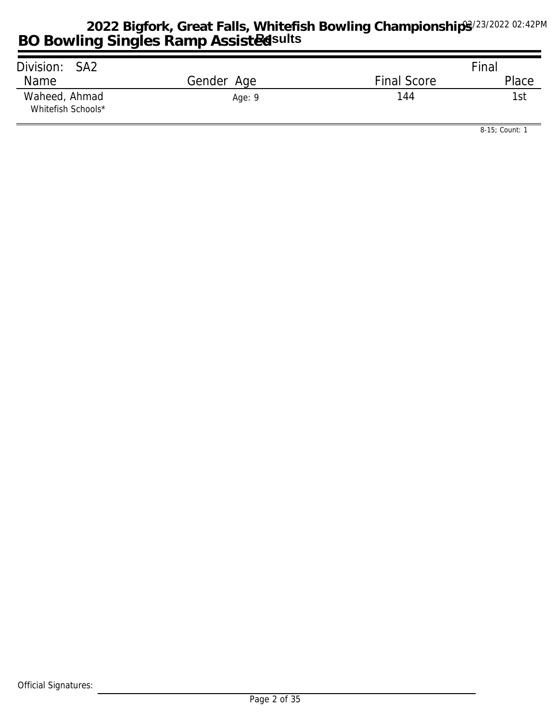| Division: SA2                       |            |                    | Final |
|-------------------------------------|------------|--------------------|-------|
| Name                                | Gender Age | <b>Final Score</b> | Place |
| Waheed, Ahmad<br>Whitefish Schools* | Age: 9     | 144                | l st  |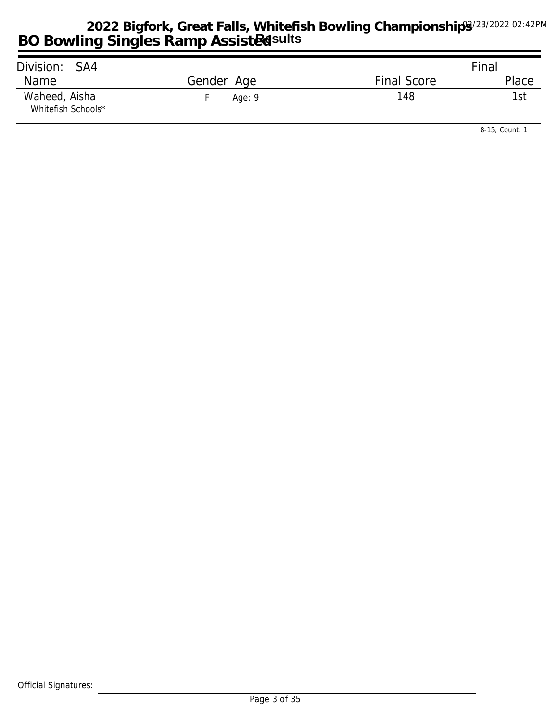| Division: SA4                       |            |                    | Final |
|-------------------------------------|------------|--------------------|-------|
| Name                                | Gender Age | <b>Final Score</b> | Place |
| Waheed, Aisha<br>Whitefish Schools* | Age: $9$   | 148                | 1st   |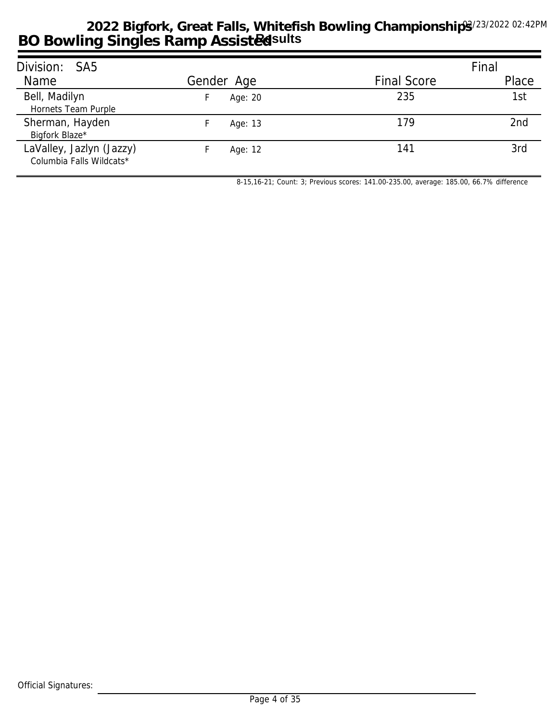| Division: SA5                                        |            |                    | Final           |
|------------------------------------------------------|------------|--------------------|-----------------|
| Name                                                 | Gender Age | <b>Final Score</b> | Place           |
| Bell, Madilyn<br>Hornets Team Purple                 | Age: 20    | 235                | 1st             |
| Sherman, Hayden<br>Bigfork Blaze*                    | Age: 13    | 179                | 2 <sub>nd</sub> |
| LaValley, Jazlyn (Jazzy)<br>Columbia Falls Wildcats* | Age: 12    | 141                | 3rd             |

*8-15,16-21; Count: 3; Previous scores: 141.00-235.00, average: 185.00, 66.7% difference*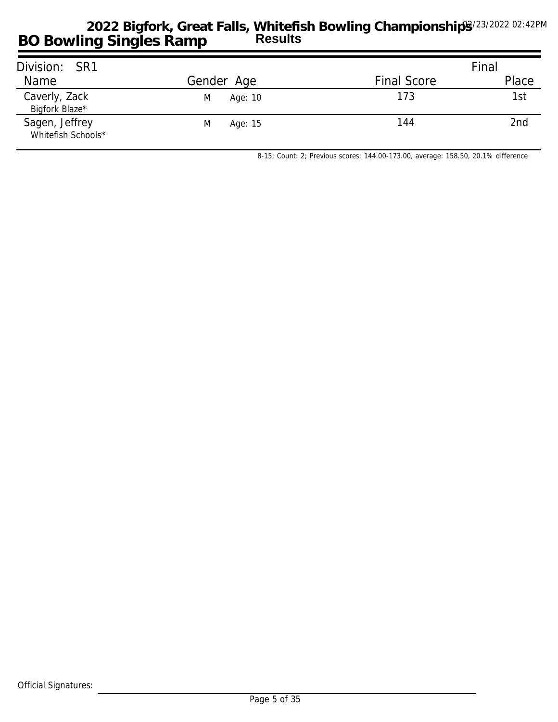| Division: SR1                        |              |                    | Final |
|--------------------------------------|--------------|--------------------|-------|
| Name                                 | Gender Age   | <b>Final Score</b> | Place |
| Caverly, Zack<br>Bigfork Blaze*      | M<br>Age: 10 | 173                | 1st   |
| Sagen, Jeffrey<br>Whitefish Schools* | M<br>Age: 15 | 144                | 2nd   |

*8-15; Count: 2; Previous scores: 144.00-173.00, average: 158.50, 20.1% difference*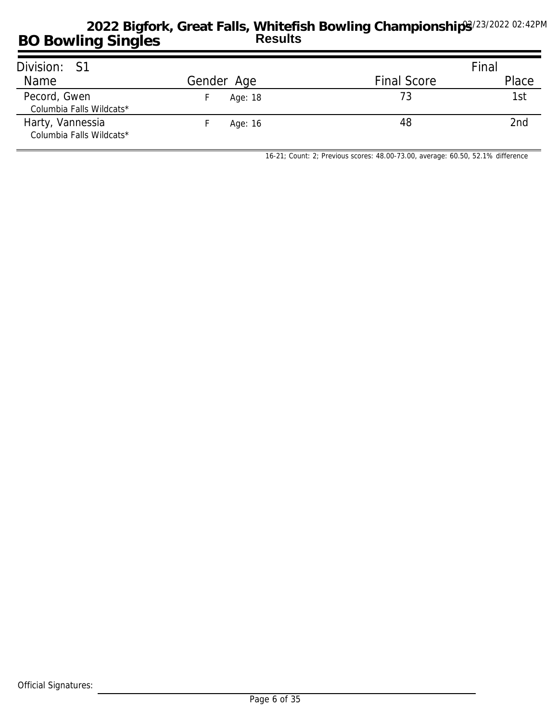| Division: S1                                 |            |                    | Final |
|----------------------------------------------|------------|--------------------|-------|
| Name                                         | Gender Age | <b>Final Score</b> | Place |
| Pecord, Gwen<br>Columbia Falls Wildcats*     | Age: 18    | 73                 | 1st   |
| Harty, Vannessia<br>Columbia Falls Wildcats* | Age: 16    | 48                 | 2nd   |

*16-21; Count: 2; Previous scores: 48.00-73.00, average: 60.50, 52.1% difference*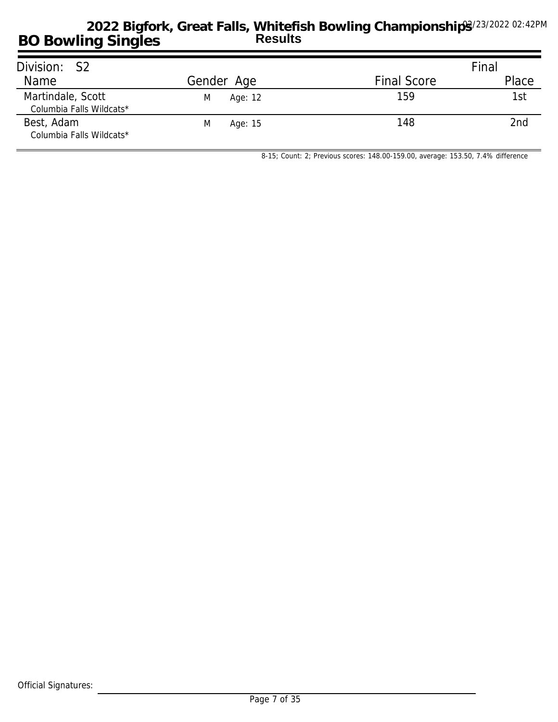| Division: S2                                  |              |                    | Final |
|-----------------------------------------------|--------------|--------------------|-------|
| Name                                          | Gender Age   | <b>Final Score</b> | Place |
| Martindale, Scott<br>Columbia Falls Wildcats* | M<br>Age: 12 | 159                | 1st   |
| Best, Adam<br>Columbia Falls Wildcats*        | M<br>Age: 15 | 148                | 2nd   |

*8-15; Count: 2; Previous scores: 148.00-159.00, average: 153.50, 7.4% difference*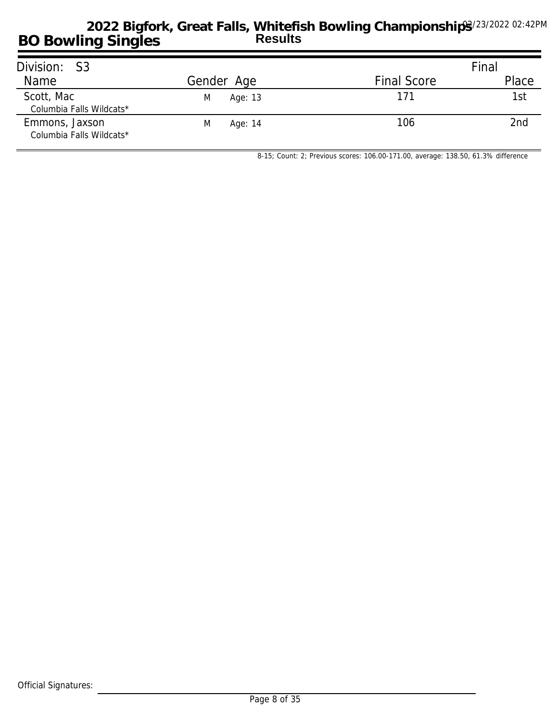| Division: S3                               |              |                    | Final |
|--------------------------------------------|--------------|--------------------|-------|
| Name                                       | Gender Age   | <b>Final Score</b> | Place |
| Scott, Mac<br>Columbia Falls Wildcats*     | M<br>Age: 13 | 171                | 1st   |
| Emmons, Jaxson<br>Columbia Falls Wildcats* | M<br>Age: 14 | 106                | 2nd   |

*8-15; Count: 2; Previous scores: 106.00-171.00, average: 138.50, 61.3% difference*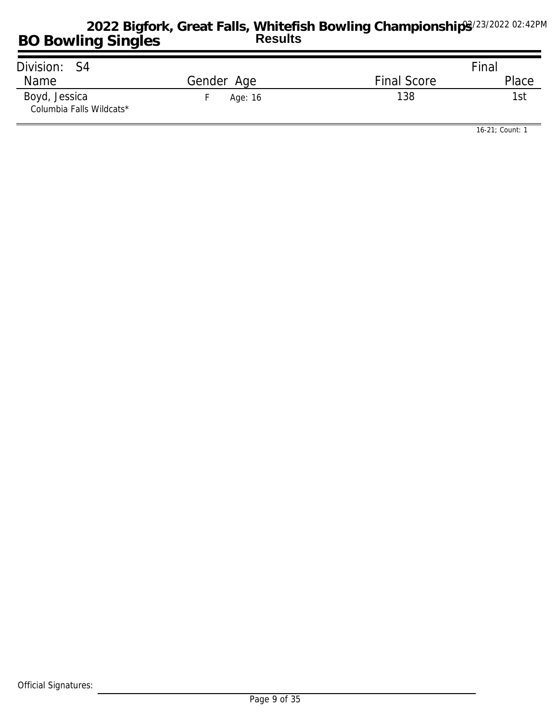| Division: S4                              |            |                    | Final |
|-------------------------------------------|------------|--------------------|-------|
| Name                                      | Gender Age | <b>Final Score</b> | Place |
| Boyd, Jessica<br>Columbia Falls Wildcats* | Age: 16    | 138                | 1st   |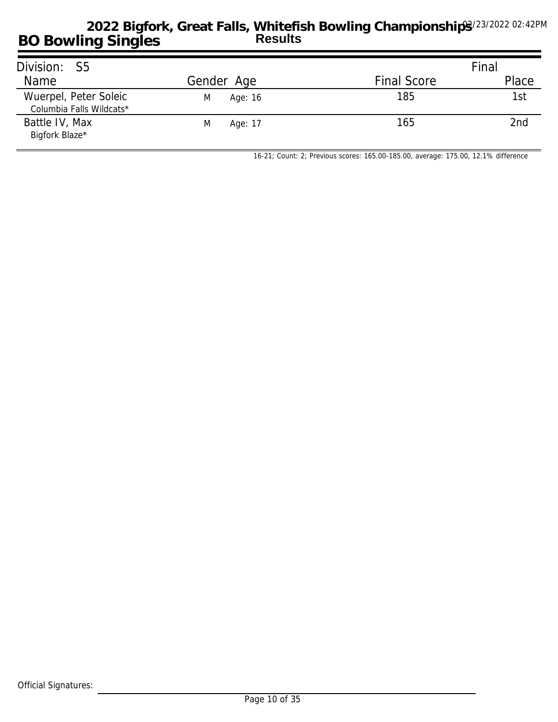| Division: S5                                      |              |                    | Final |
|---------------------------------------------------|--------------|--------------------|-------|
| Name                                              | Gender Age   | <b>Final Score</b> | Place |
| Wuerpel, Peter Soleic<br>Columbia Falls Wildcats* | M<br>Age: 16 | 185                | 1st   |
| Battle IV, Max<br>Bigfork Blaze*                  | Age: 17<br>M | 165                | 2nd   |

*16-21; Count: 2; Previous scores: 165.00-185.00, average: 175.00, 12.1% difference*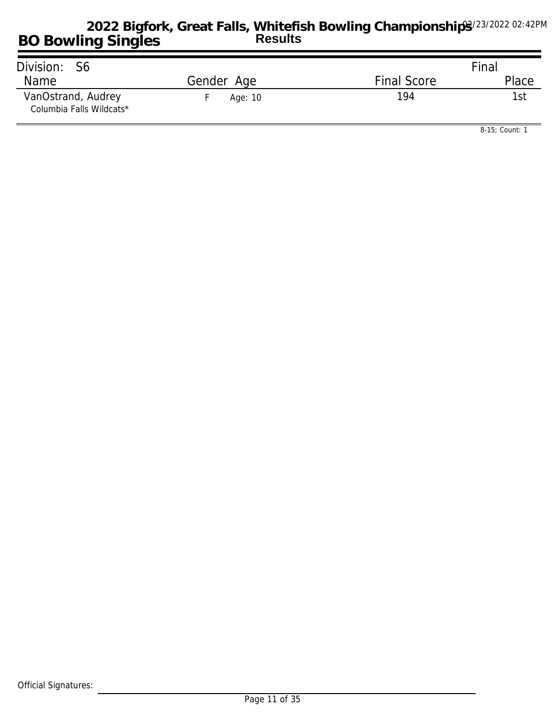| Division: S6                                   |            |                    | Final |
|------------------------------------------------|------------|--------------------|-------|
| Name                                           | Gender Age | <b>Final Score</b> | Place |
| VanOstrand, Audrey<br>Columbia Falls Wildcats* | Age: 10    | 194                | 'I St |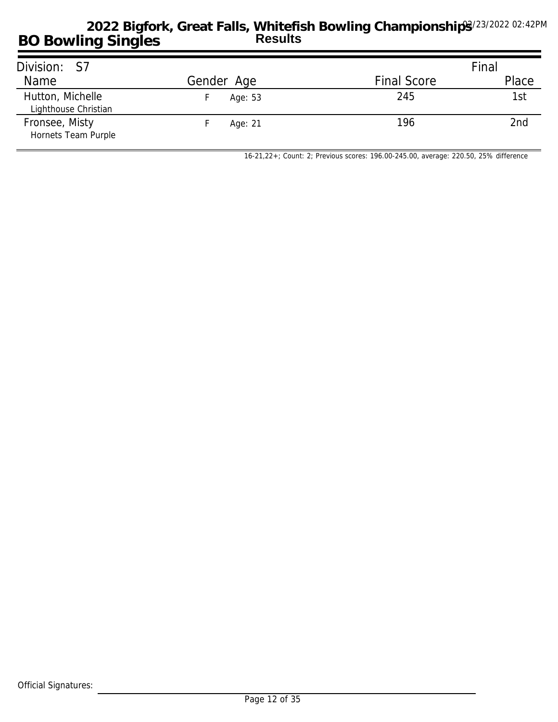| Division: S7                             |            |                    | Final |
|------------------------------------------|------------|--------------------|-------|
| Name                                     | Gender Age | <b>Final Score</b> | Place |
| Hutton, Michelle<br>Lighthouse Christian | Age: 53    | 245                | 1st   |
| Fronsee, Misty<br>Hornets Team Purple    | Age: 21    | 196                | 2nd   |

*16-21,22+; Count: 2; Previous scores: 196.00-245.00, average: 220.50, 25% difference*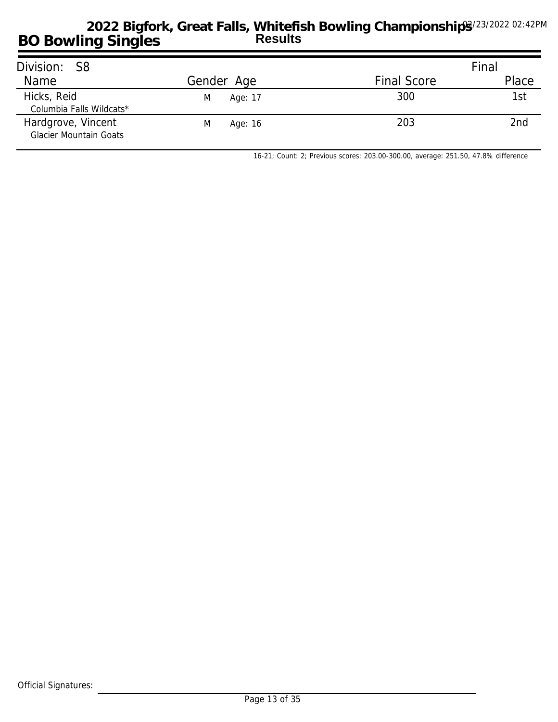| Division: S8                                        |              |                    | Final |
|-----------------------------------------------------|--------------|--------------------|-------|
| Name                                                | Gender Age   | <b>Final Score</b> | Place |
| Hicks, Reid<br>Columbia Falls Wildcats*             | Age: 17<br>M | 300                | 1st   |
| Hardgrove, Vincent<br><b>Glacier Mountain Goats</b> | M<br>Age: 16 | 203                | 2nd   |

*16-21; Count: 2; Previous scores: 203.00-300.00, average: 251.50, 47.8% difference*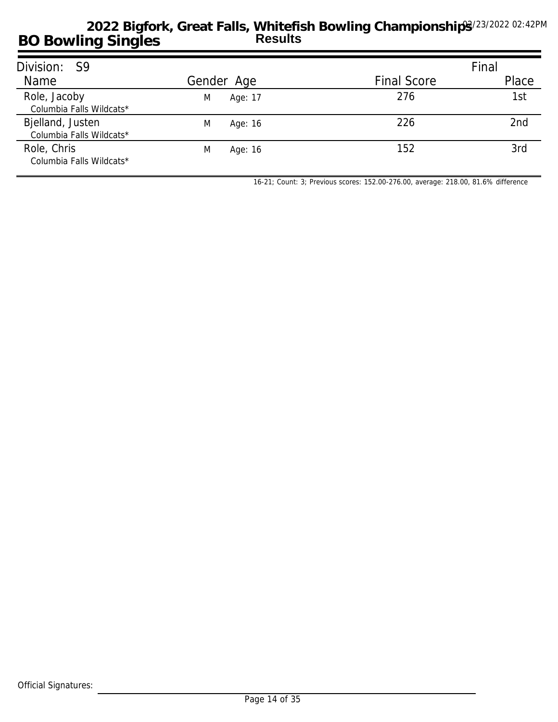| Division: S9                                 |              |                    | Final           |
|----------------------------------------------|--------------|--------------------|-----------------|
| Name                                         | Gender Age   | <b>Final Score</b> | Place           |
| Role, Jacoby<br>Columbia Falls Wildcats*     | M<br>Age: 17 | 276                | 1st             |
| Bjelland, Justen<br>Columbia Falls Wildcats* | M<br>Age: 16 | 226                | 2 <sub>nd</sub> |
| Role, Chris<br>Columbia Falls Wildcats*      | M<br>Age: 16 | 152                | 3rd             |

*16-21; Count: 3; Previous scores: 152.00-276.00, average: 218.00, 81.6% difference*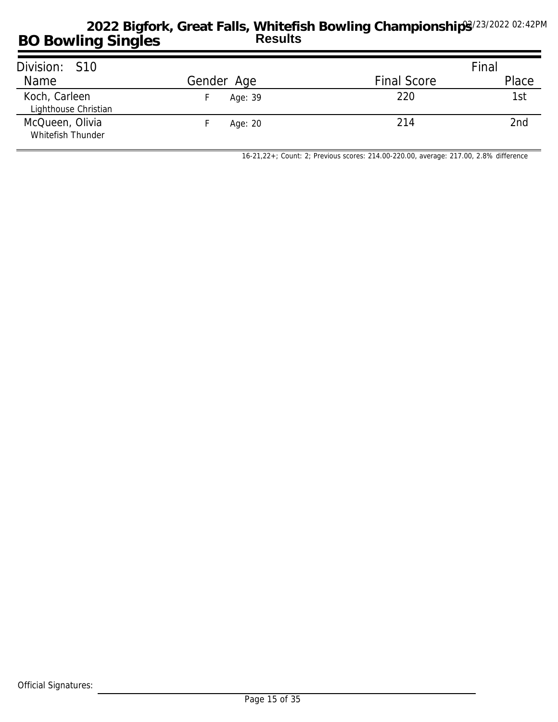| Division: S10                         |            |                    | Final |
|---------------------------------------|------------|--------------------|-------|
| Name                                  | Gender Age | <b>Final Score</b> | Place |
| Koch, Carleen<br>Lighthouse Christian | Age: 39    | 220                | 1st   |
| McQueen, Olivia<br>Whitefish Thunder  | Age: 20    | 214                | 2nd   |

*16-21,22+; Count: 2; Previous scores: 214.00-220.00, average: 217.00, 2.8% difference*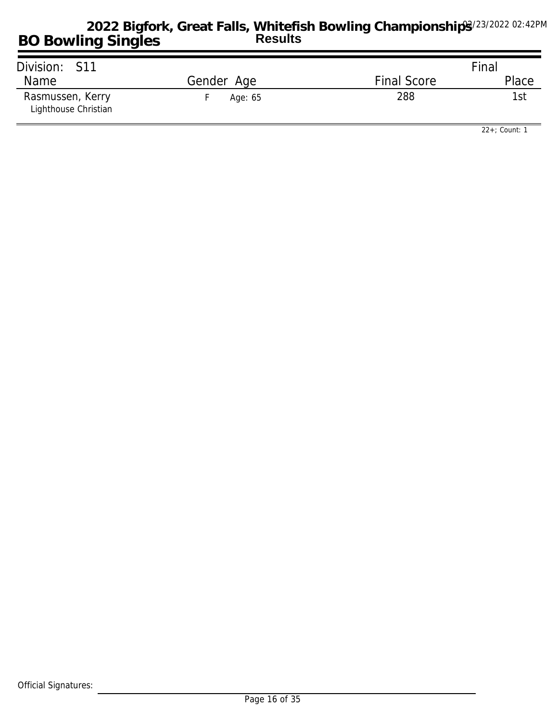| Division: S11                            |            |                    | Final |
|------------------------------------------|------------|--------------------|-------|
| <b>Name</b>                              | Gender Age | <b>Final Score</b> | Place |
| Rasmussen, Kerry<br>Lighthouse Christian | Age: 65    | 288                | 1st   |

*22+; Count: 1*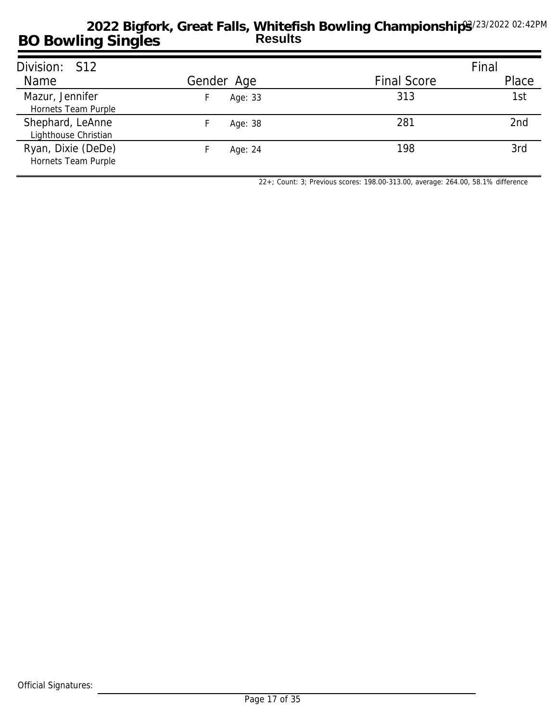| Division: S12                             |            |                    | Final |
|-------------------------------------------|------------|--------------------|-------|
| Name                                      | Gender Age | <b>Final Score</b> | Place |
| Mazur, Jennifer<br>Hornets Team Purple    | Age: 33    | 313                | 1st   |
| Shephard, LeAnne<br>Lighthouse Christian  | Age: 38    | 281                | 2nd   |
| Ryan, Dixie (DeDe)<br>Hornets Team Purple | Age: 24    | 198                | 3rd   |

*22+; Count: 3; Previous scores: 198.00-313.00, average: 264.00, 58.1% difference*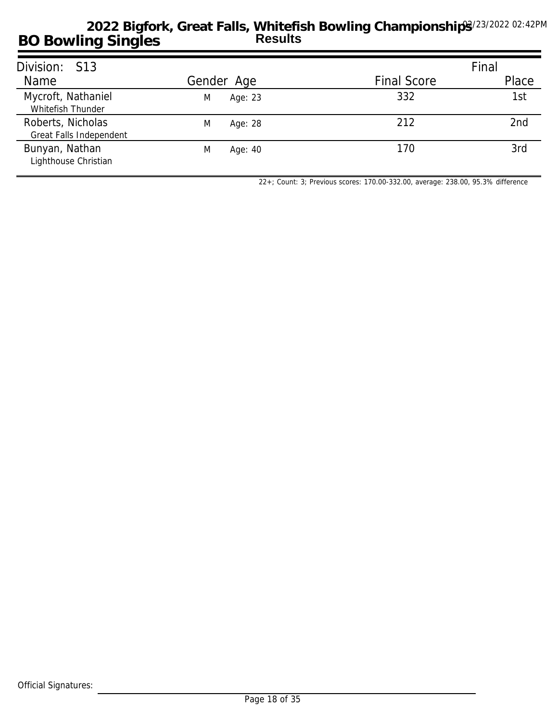| Division: S13                                |              |                    | Final |
|----------------------------------------------|--------------|--------------------|-------|
| Name                                         | Gender Age   | <b>Final Score</b> | Place |
| Mycroft, Nathaniel<br>Whitefish Thunder      | Age: 23<br>M | 332                | 1st   |
| Roberts, Nicholas<br>Great Falls Independent | M<br>Age: 28 | 212                | 2nd   |
| Bunyan, Nathan<br>Lighthouse Christian       | M<br>Age: 40 | 170                | 3rd   |

*22+; Count: 3; Previous scores: 170.00-332.00, average: 238.00, 95.3% difference*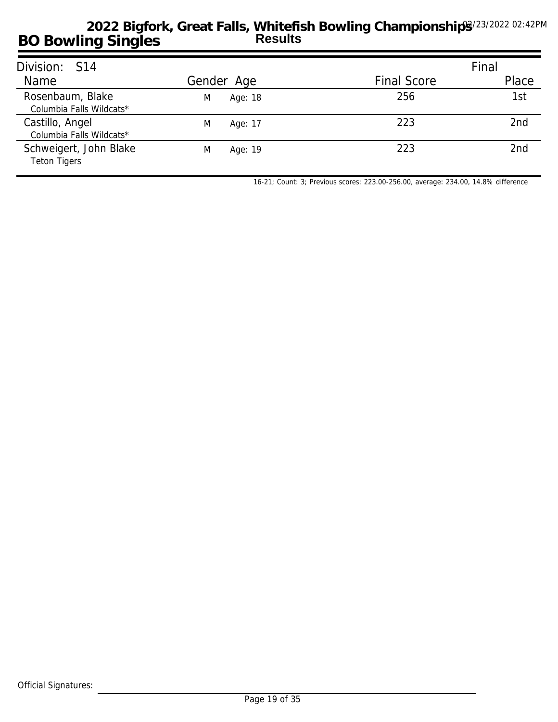| Division: S14                                 |              |                    | Final |
|-----------------------------------------------|--------------|--------------------|-------|
| Name                                          | Gender Age   | <b>Final Score</b> | Place |
| Rosenbaum, Blake<br>Columbia Falls Wildcats*  | Age: 18<br>M | 256                | 1st   |
| Castillo, Angel<br>Columbia Falls Wildcats*   | M<br>Age: 17 | 223                | 2nd   |
| Schweigert, John Blake<br><b>Teton Tigers</b> | M<br>Age: 19 | 223                | 2nd   |

*16-21; Count: 3; Previous scores: 223.00-256.00, average: 234.00, 14.8% difference*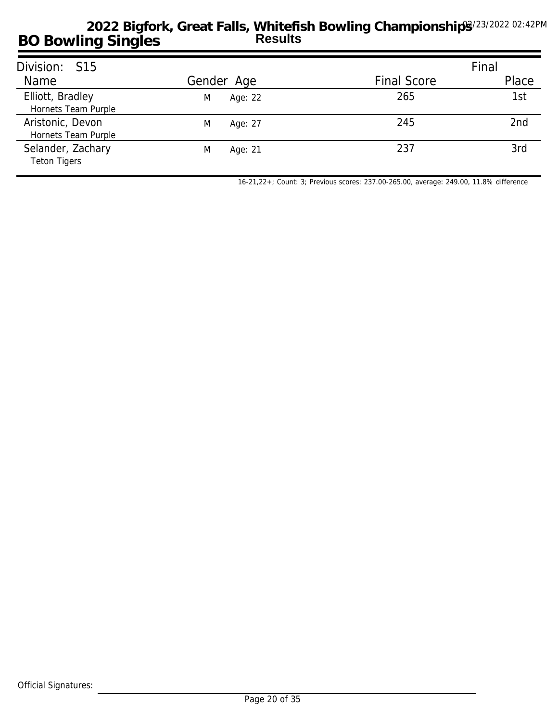| Division: S15                            |              |                    | Final           |
|------------------------------------------|--------------|--------------------|-----------------|
| Name                                     | Gender Age   | <b>Final Score</b> | Place           |
| Elliott, Bradley<br>Hornets Team Purple  | Age: 22<br>M | 265                | 1st             |
| Aristonic, Devon<br>Hornets Team Purple  | M<br>Age: 27 | 245                | 2 <sub>nd</sub> |
| Selander, Zachary<br><b>Teton Tigers</b> | M<br>Age: 21 | 237                | 3rd             |

*16-21,22+; Count: 3; Previous scores: 237.00-265.00, average: 249.00, 11.8% difference*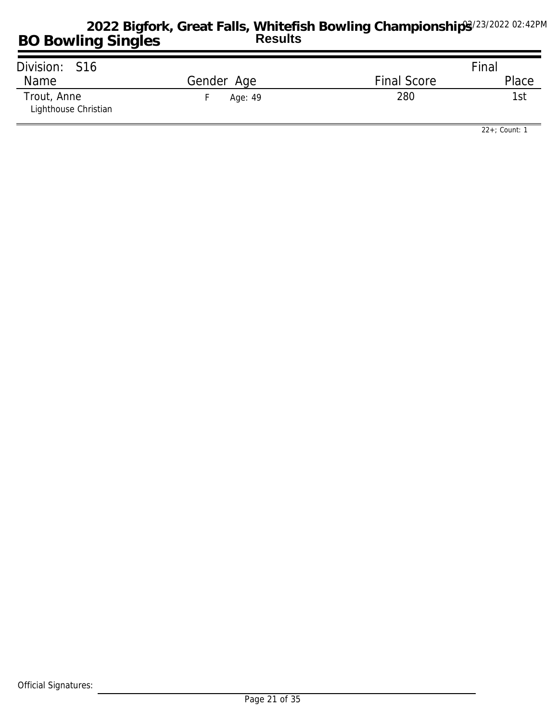| Division: S16                       |            |                    | Final |
|-------------------------------------|------------|--------------------|-------|
| Name                                | Gender Age | <b>Final Score</b> | Place |
| Trout, Anne<br>Lighthouse Christian | Age: 49    | 280                | 1st   |

*22+; Count: 1*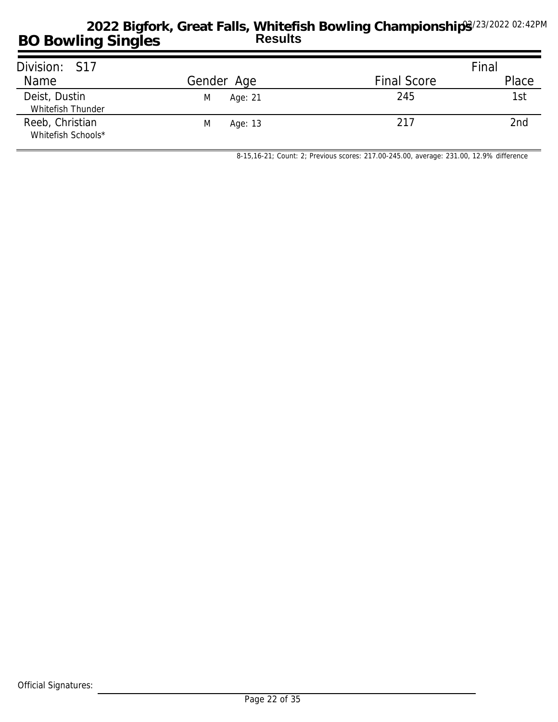| Division: S17                         |              |                    | Final |
|---------------------------------------|--------------|--------------------|-------|
| Name                                  | Gender Age   | <b>Final Score</b> | Place |
| Deist, Dustin<br>Whitefish Thunder    | Age: 21<br>M | 245                | 1st   |
| Reeb, Christian<br>Whitefish Schools* | Age: 13<br>M | 217                | 2nd   |

*8-15,16-21; Count: 2; Previous scores: 217.00-245.00, average: 231.00, 12.9% difference*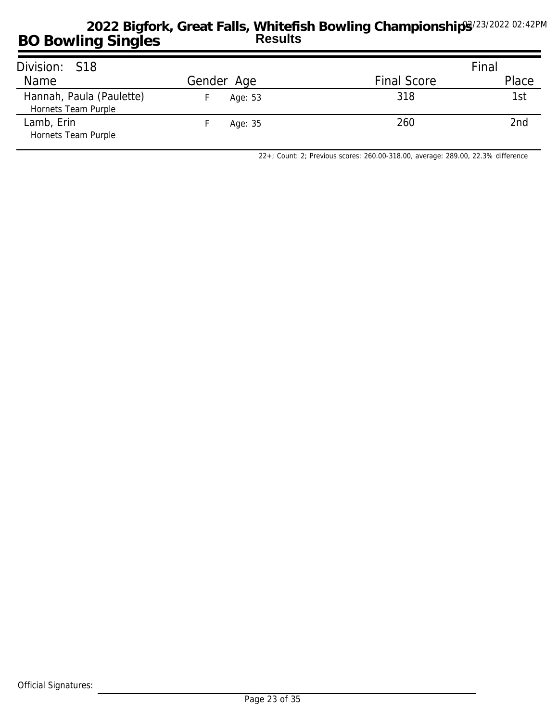| Division: S18                                   |            |                    | Final |
|-------------------------------------------------|------------|--------------------|-------|
| Name                                            | Gender Age | <b>Final Score</b> | Place |
| Hannah, Paula (Paulette)<br>Hornets Team Purple | Age: 53    | 318                | 1st   |
| Lamb, Erin<br>Hornets Team Purple               | Age: 35    | 260                | 2nd   |

*22+; Count: 2; Previous scores: 260.00-318.00, average: 289.00, 22.3% difference*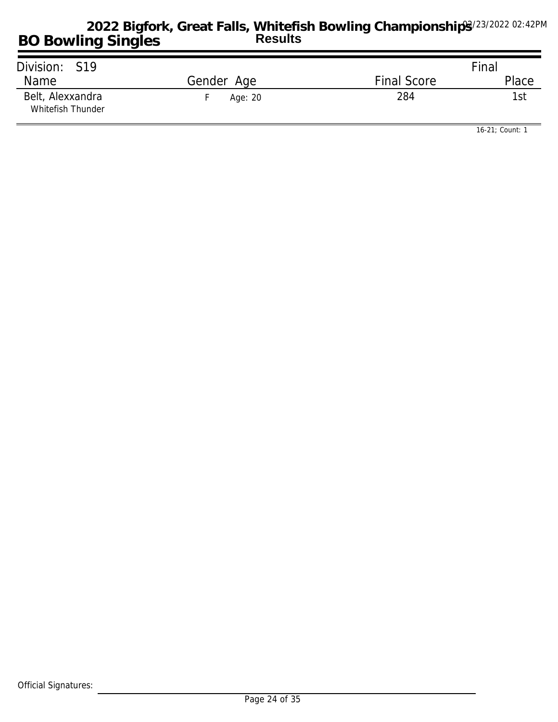| Division: S19                         |            |                    | Final |
|---------------------------------------|------------|--------------------|-------|
| Name                                  | Gender Age | <b>Final Score</b> | Place |
| Belt, Alexxandra<br>Whitefish Thunder | Age: 20    | 284                | 1st   |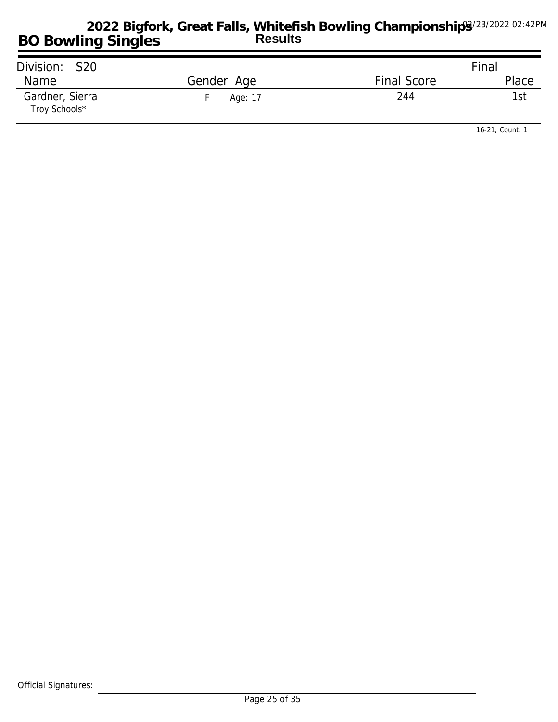| Division: S20                    |            |                    | Final |
|----------------------------------|------------|--------------------|-------|
| Name                             | Gender Age | <b>Final Score</b> | Place |
| Gardner, Sierra<br>Troy Schools* | Age: 17    | 244                | 1st   |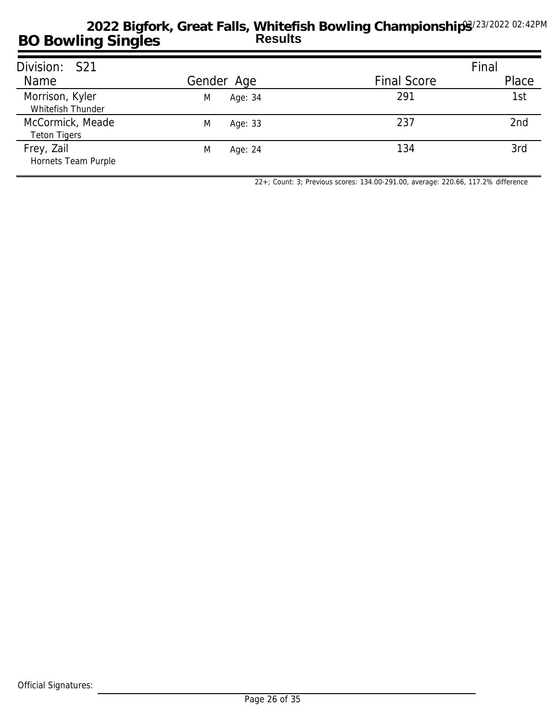| Division: S21                           |              |                    | Final |
|-----------------------------------------|--------------|--------------------|-------|
| Name                                    | Gender Age   | <b>Final Score</b> | Place |
| Morrison, Kyler<br>Whitefish Thunder    | Age: 34<br>M | 291                | 1st   |
| McCormick, Meade<br><b>Teton Tigers</b> | M<br>Age: 33 | 237                | 2nd   |
| Frey, Zail<br>Hornets Team Purple       | M<br>Age: 24 | 134                | 3rd   |

*22+; Count: 3; Previous scores: 134.00-291.00, average: 220.66, 117.2% difference*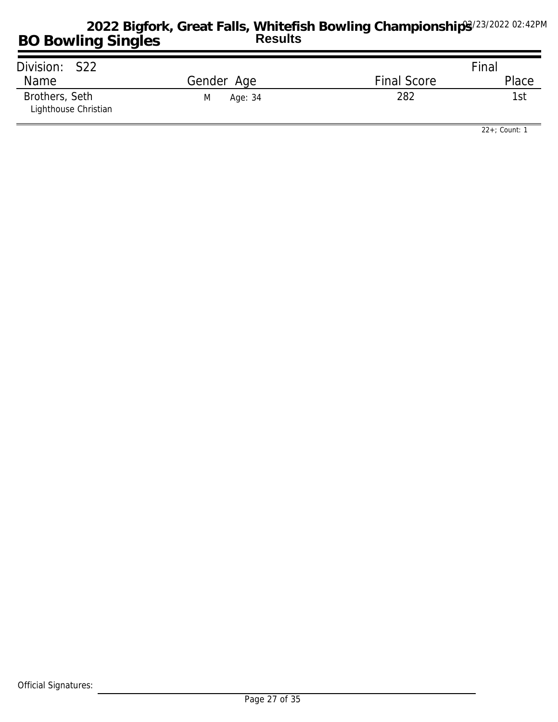| Division: S22                          |              |                    | Final |
|----------------------------------------|--------------|--------------------|-------|
| Name                                   | Gender Age   | <b>Final Score</b> | Place |
| Brothers, Seth<br>Lighthouse Christian | M<br>Age: 34 | 282                | 1st   |

*22+; Count: 1*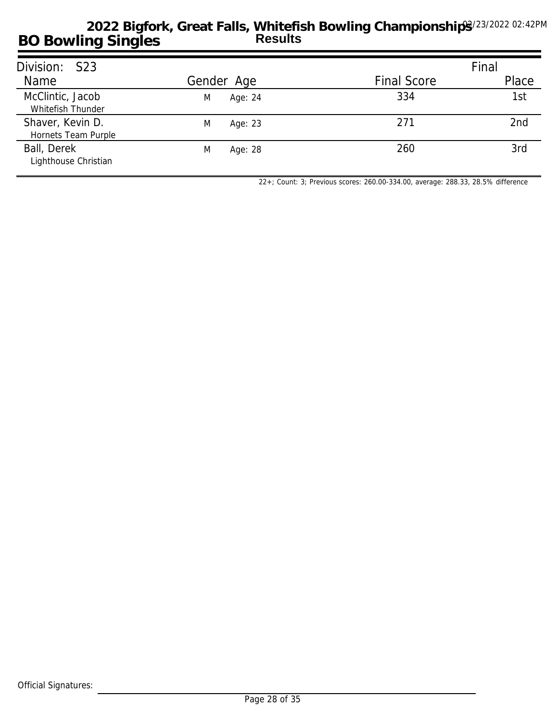| Division: S23                           |              |                    | Final |
|-----------------------------------------|--------------|--------------------|-------|
| Name                                    | Gender Age   | <b>Final Score</b> | Place |
| McClintic, Jacob<br>Whitefish Thunder   | Age: 24<br>M | 334                | 1st   |
| Shaver, Kevin D.<br>Hornets Team Purple | M<br>Age: 23 | 271                | 2nd   |
| Ball, Derek<br>Lighthouse Christian     | M<br>Age: 28 | 260                | 3rd   |

*22+; Count: 3; Previous scores: 260.00-334.00, average: 288.33, 28.5% difference*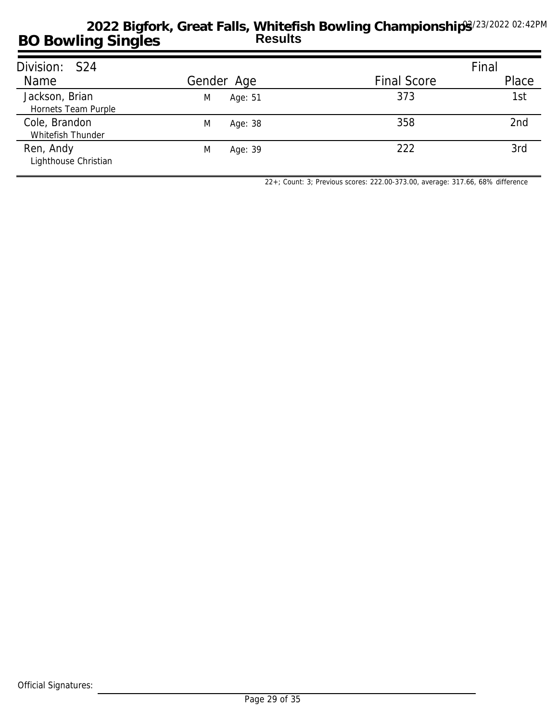| Division: S24                         |              |                    | Final |
|---------------------------------------|--------------|--------------------|-------|
| Name                                  | Gender Age   | <b>Final Score</b> | Place |
| Jackson, Brian<br>Hornets Team Purple | Age: 51<br>M | 373                | 1st   |
| Cole, Brandon<br>Whitefish Thunder    | M<br>Age: 38 | 358                | 2nd   |
| Ren, Andy<br>Lighthouse Christian     | M<br>Age: 39 | 222                | 3rd   |

*22+; Count: 3; Previous scores: 222.00-373.00, average: 317.66, 68% difference*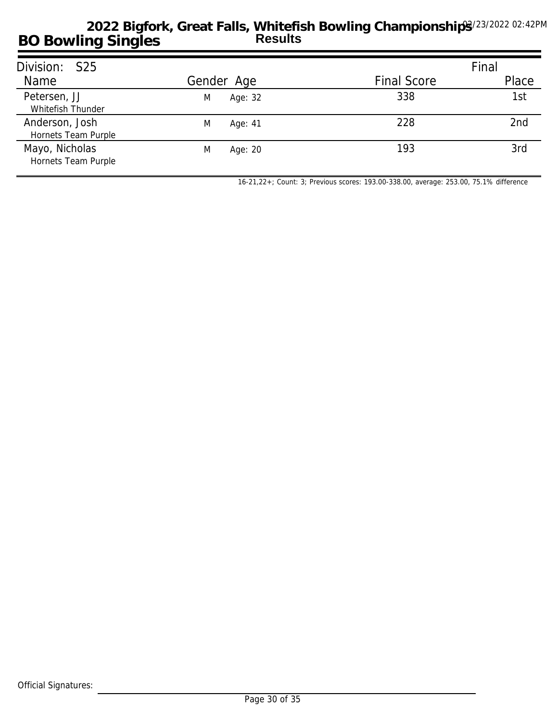| Division: S25                         |              |                    | Final           |
|---------------------------------------|--------------|--------------------|-----------------|
| Name                                  | Gender Age   | <b>Final Score</b> | Place           |
| Petersen, JJ<br>Whitefish Thunder     | Age: 32<br>M | 338                | 1st             |
| Anderson, Josh<br>Hornets Team Purple | M<br>Age: 41 | 228                | 2 <sub>nd</sub> |
| Mayo, Nicholas<br>Hornets Team Purple | M<br>Age: 20 | 193                | 3rd             |

*16-21,22+; Count: 3; Previous scores: 193.00-338.00, average: 253.00, 75.1% difference*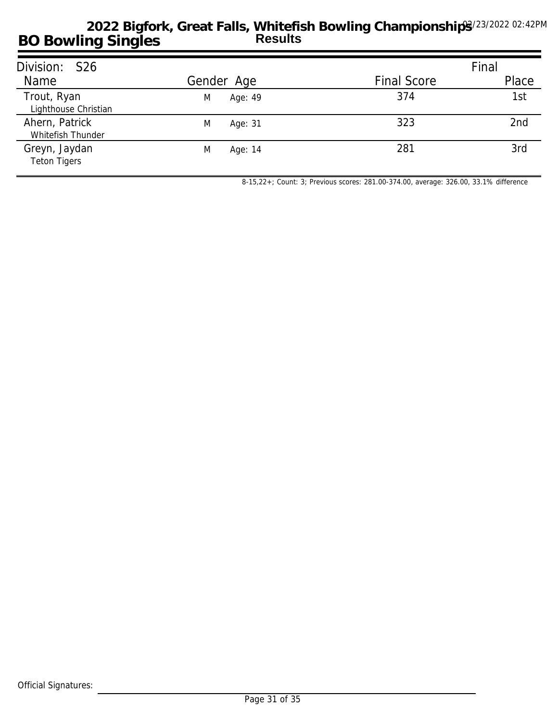| Division: S26                        |              |                    | Final           |
|--------------------------------------|--------------|--------------------|-----------------|
| Name                                 | Gender Age   | <b>Final Score</b> | Place           |
| Trout, Ryan<br>Lighthouse Christian  | M<br>Age: 49 | 374                | 1st             |
| Ahern, Patrick<br>Whitefish Thunder  | M<br>Age: 31 | 323                | 2 <sub>nd</sub> |
| Greyn, Jaydan<br><b>Teton Tigers</b> | M<br>Age: 14 | 281                | 3rd             |

*8-15,22+; Count: 3; Previous scores: 281.00-374.00, average: 326.00, 33.1% difference*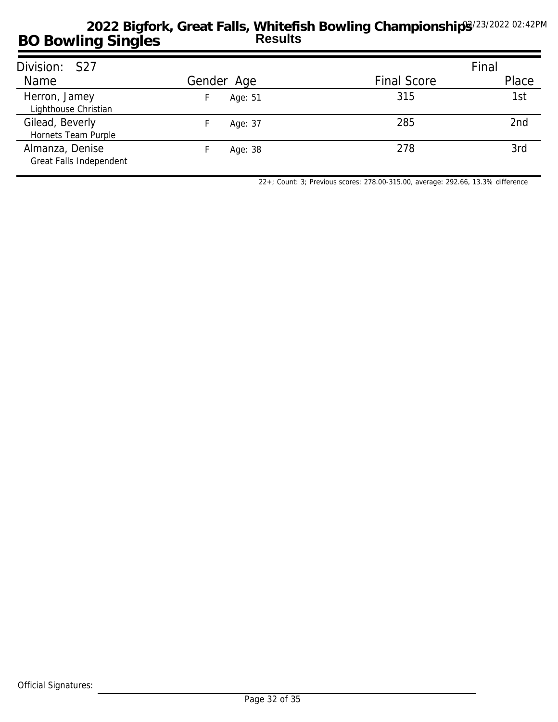| Division: S27                              |            |                    | Final |
|--------------------------------------------|------------|--------------------|-------|
| Name                                       | Gender Age | <b>Final Score</b> | Place |
| Herron, Jamey<br>Lighthouse Christian      | Age: 51    | 315                | 1st   |
| Gilead, Beverly<br>Hornets Team Purple     | Age: 37    | 285                | 2nd   |
| Almanza, Denise<br>Great Falls Independent | Age: 38    | 278                | 3rd   |

*22+; Count: 3; Previous scores: 278.00-315.00, average: 292.66, 13.3% difference*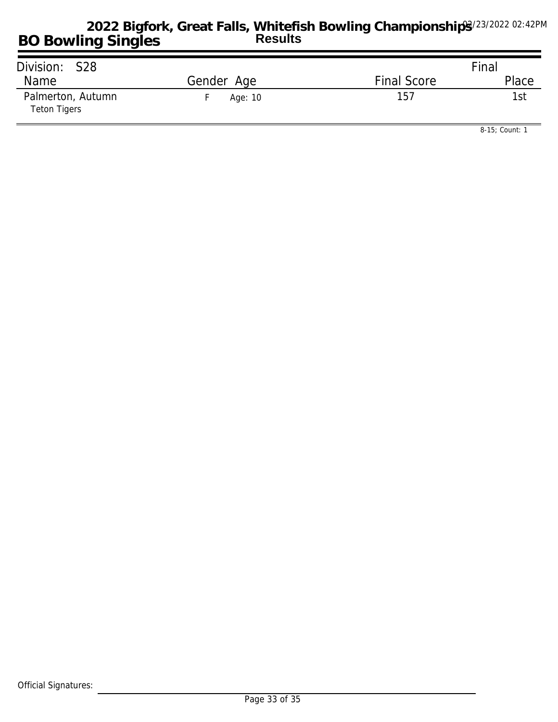| Division: S28                            |            |                    | Final |
|------------------------------------------|------------|--------------------|-------|
| Name                                     | Gender Age | <b>Final Score</b> | Place |
| Palmerton, Autumn<br><b>Teton Tigers</b> | Age: 10    | 157                | 1st⊹  |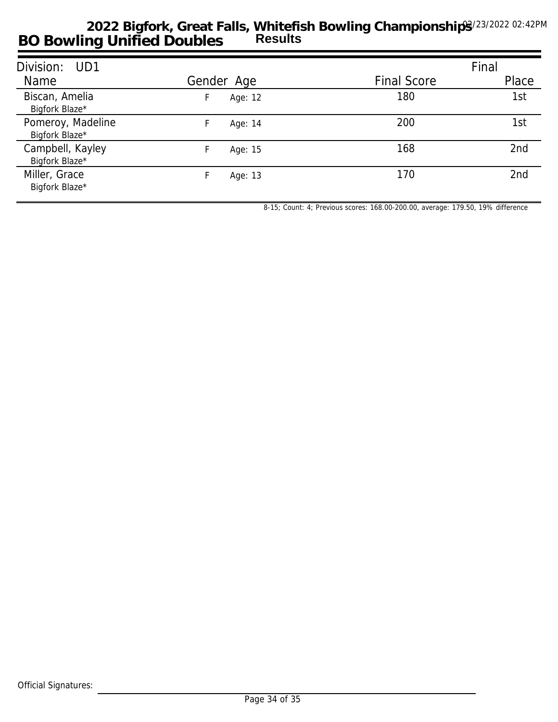| Division: UD1                       |            |                    | Final |
|-------------------------------------|------------|--------------------|-------|
| Name                                | Gender Age | <b>Final Score</b> | Place |
| Biscan, Amelia<br>Bigfork Blaze*    | Age: 12    | 180                | 1st   |
| Pomeroy, Madeline<br>Bigfork Blaze* | Age: 14    | 200                | 1st   |
| Campbell, Kayley<br>Bigfork Blaze*  | Age: 15    | 168                | 2nd   |
| Miller, Grace<br>Bigfork Blaze*     | Age: 13    | 170                | 2nd   |

*8-15; Count: 4; Previous scores: 168.00-200.00, average: 179.50, 19% difference*